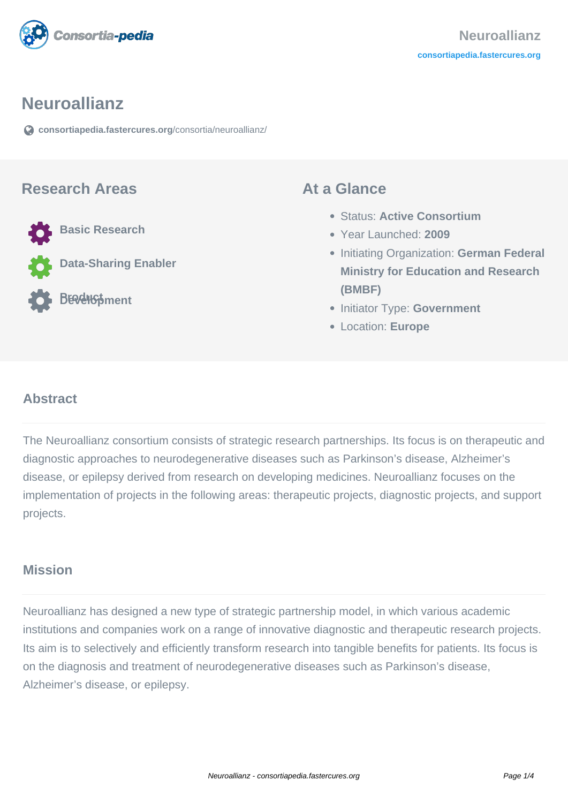

#### **Neuroallianz**

**[consortiapedia.fastercures.org](https://consortiapedia.fastercures.org/consortia/neuroallianz/)**[/consortia/neuroallianz/](https://consortiapedia.fastercures.org/consortia/neuroallianz/)

#### **Research Areas**



# **At a Glance**

- Status: **Active Consortium**
- Year Launched: **2009**
- **Initiating Organization: German Federal Ministry for Education and Research (BMBF)**
- **Initiator Type: Government**
- Location: **Europe**

#### $\overline{a}$ **Abstract**

The Neuroallianz consortium consists of strategic research partnerships. Its focus is on therapeutic and diagnostic approaches to neurodegenerative diseases such as Parkinson's disease, Alzheimer's disease, or epilepsy derived from research on developing medicines. Neuroallianz focuses on the implementation of projects in the following areas: therapeutic projects, diagnostic projects, and support projects.

## **Mission**

Neuroallianz has designed a new type of strategic partnership model, in which various academic institutions and companies work on a range of innovative diagnostic and therapeutic research projects. Its aim is to selectively and efficiently transform research into tangible benefits for patients. Its focus is on the diagnosis and treatment of neurodegenerative diseases such as Parkinson's disease, Alzheimer's disease, or epilepsy.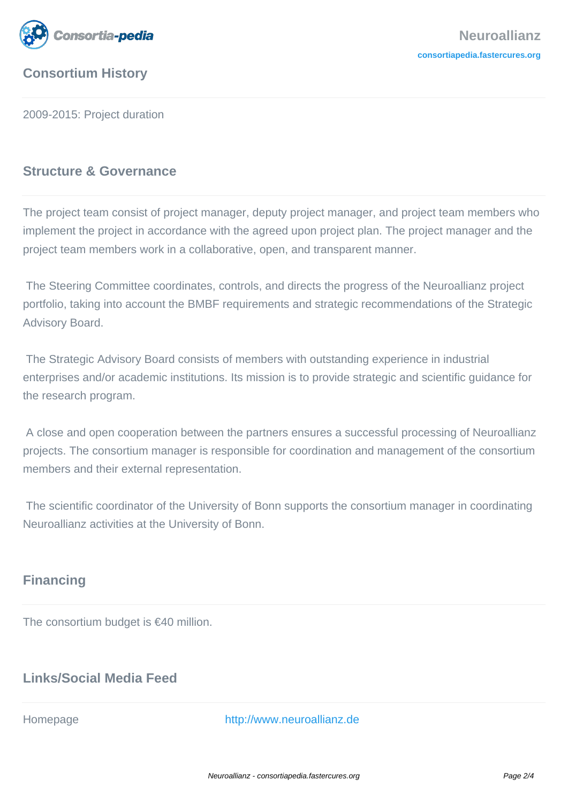

# **Consortium History**

2009-2015: Project duration

## **Structure & Governance**

The project team consist of project manager, deputy project manager, and project team members who implement the project in accordance with the agreed upon project plan. The project manager and the project team members work in a collaborative, open, and transparent manner.

 The Steering Committee coordinates, controls, and directs the progress of the Neuroallianz project portfolio, taking into account the BMBF requirements and strategic recommendations of the Strategic Advisory Board.

 The Strategic Advisory Board consists of members with outstanding experience in industrial enterprises and/or academic institutions. Its mission is to provide strategic and scientific guidance for the research program.

 A close and open cooperation between the partners ensures a successful processing of Neuroallianz projects. The consortium manager is responsible for coordination and management of the consortium members and their external representation.

 The scientific coordinator of the University of Bonn supports the consortium manager in coordinating Neuroallianz activities at the University of Bonn.

# **Financing**

The consortium budget is €40 million.

# **Links/Social Media Feed**

Homepage <http://www.neuroallianz.de>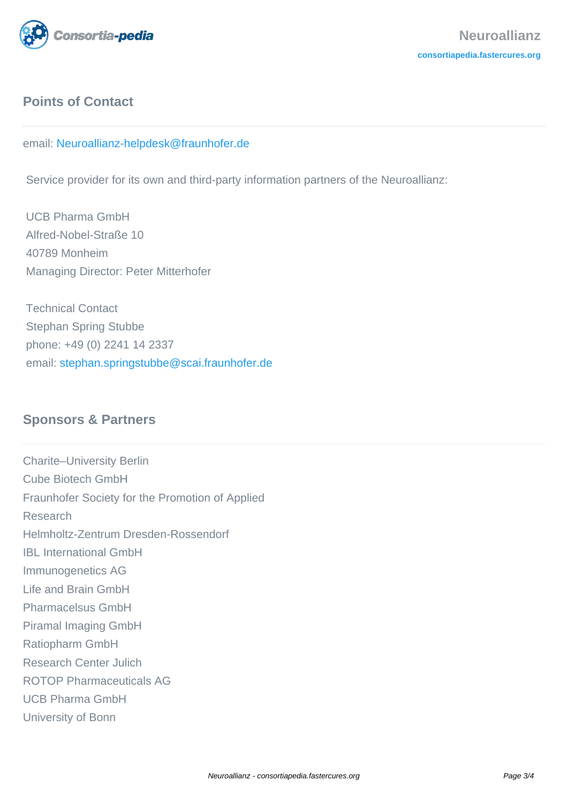

# **Points of Contact**

#### email: [Neuroallianz-helpdesk@fraunhofer.de](mailto:Neuroallianz-helpdesk@fraunhofer.de)

Service provider for its own and third-party information partners of the Neuroallianz:

 UCB Pharma GmbH Alfred-Nobel-Straße 10 40789 Monheim Managing Director: Peter Mitterhofer

 Technical Contact Stephan Spring Stubbe phone: +49 (0) 2241 14 2337 email: [stephan.springstubbe@scai.fraunhofer.de](mailto:stephan.springstubbe@scai.fraunhofer.de)

## **Sponsors & Partners**

Charite–University Berlin Cube Biotech GmbH Fraunhofer Society for the Promotion of Applied Research Helmholtz-Zentrum Dresden-Rossendorf IBL International GmbH Immunogenetics AG Life and Brain GmbH Pharmacelsus GmbH Piramal Imaging GmbH Ratiopharm GmbH Research Center Julich ROTOP Pharmaceuticals AG UCB Pharma GmbH University of Bonn